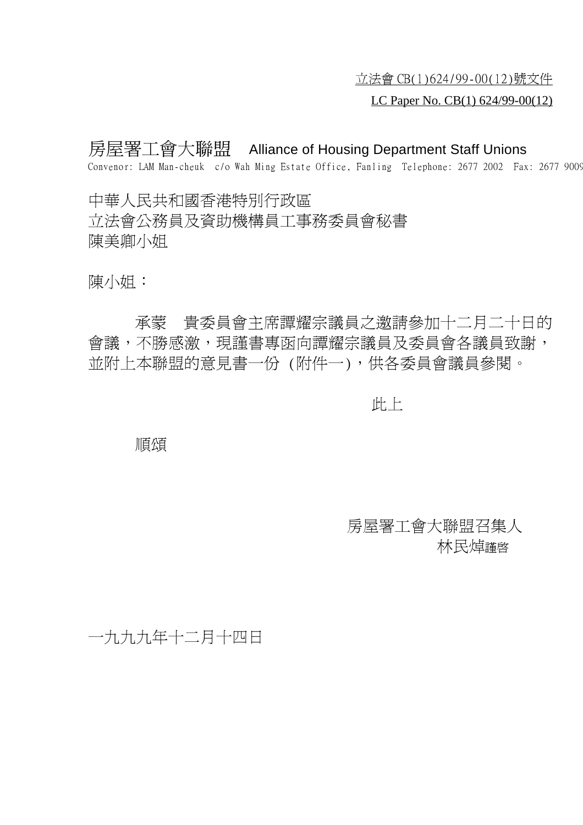立法會 CB(1)624/99-00(12)號文件

## LC Paper No. CB(1) 624/99-00(12)

房屋署工會大聯盟 Alliance of Housing Department Staff Unions Convenor: LAM Man-cheuk c/o Wah Ming Estate Office, Fanling Telephone: 2677 2002 Fax: 2677 9009

㆗華㆟民共和國香港特別行政區 立法會公務員及資助機構員工事務委員會秘書 陳美卿小姐

陳小姐:<br><br>承蒙 貴委員會主席譚耀宗議員之邀請參加十二月二十日的 會議,不勝感激,現謹書專函向譚耀宗議員及委員會各議員致謝, 並附上本聯盟的意見書一份 (附件一),供各委員會議員參閱。

此㆖

順頌

房屋署工會大聯盟召集㆟ 林民焯<sub>謹啓</sub>

一九九九年十二月十四日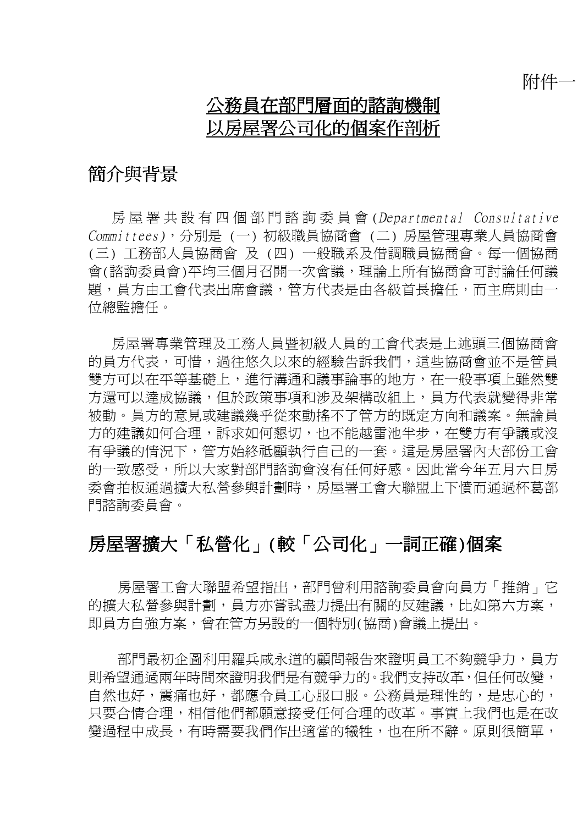附件一

# 公務員在部門層面的諮詢機制 以房屋署公司化的個案作剖析

# 簡介與背景

房屋署共設有㆕個部門諮詢委員會 (Departmental Consultative Committees),分別是 (㆒) 初級職員協商會 (㆓) 房屋管理專業㆟員協商會 (三) 工務部人員協商會 及 (四) 一般職系及借調職員協商會。每一個協商 會(諮詢委員會)平均三個月召開一次會議,理論上所有協商會可討論任何議 題,員方由工會代表出席會議,管方代表是由各級首長擔任,而主席則由一 位總監擔任。

房屋署專業管理及工務人員暨初級人員的工會代表是上述頭三個協商會 的員方代表,可惜,過往悠久以來的經驗告訴我們,這些協商會並不是管員 雙方可以在平等基礎上,進行溝通和議事論事的地方,在一般事項上雖然雙 方還可以達成協議,但於政策事項和涉及架構改組上,員方代表就變得非常 被動。員方的意見或建議幾乎從來動搖不了管方的既定方向和議案。無論員 方的建議如何合理,訴求如何懇切,也不能越雷池半步,在雙方有爭議或沒 有爭議的情況㆘,管方始終祗顧執行自己的㆒套。這是房屋署內大部份工會 的一致感受,所以大家對部門諮詢會沒有任何好感。因此當今年五月六日房 委會拍板涌渦擴大私營參與計劃時,房屋署工會大聯盟上下憤而涌過杯葛部 門諮詢委員會。

# 房屋署擴大「私營化」(較「公司化」㆒詞正確)個案

房屋署工會大聯盟希望指出,部門曾利用諮詢委員會向員方「推銷」它 的攜大私營參與計劃,員方亦嘗試盡力提出有關的反建議,比如第六方案, 即員方自強方案,曾在管方另設的一個特別(協商)會議上提出。

部門最初企圖利用羅兵咸永道的顧問報告來證明員工不夠競爭力,員方 則希望通過兩年時間來證明我們是有競爭力的。我們支持改革,但任何改變, 自然也好,震痛也好,都應令員工心服口服。公務員是理性的,是忠心的, 只要合情合理,相信他們都願意接受任何合理的改革。事實上我們也是在改 變渦程中成長,有時需要我們作出適當的犧牲,也在所不辭。原則很簡單,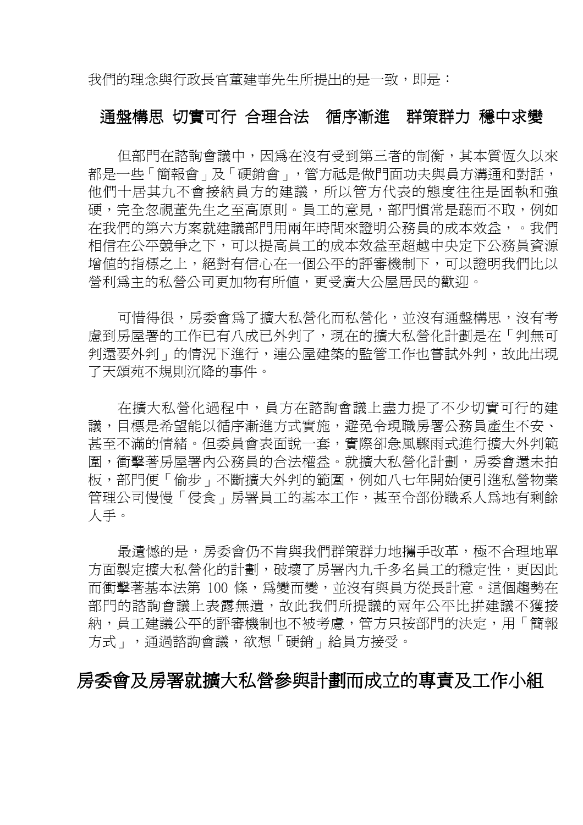我們的理念與行政長官董建華先生所提出的是一致,即是:

## 通盤構思 切實可行 合理合法 循序漸進 群策群力 穩中求變

但部門在諮詢會議中,因為在沒有受到第三者的制衡,其本質恆久以來 都是一些「簡報會」及「硬銷會」,管方祗是做門面功夫與員方溝通和對話, 他們十居其九不會接納員方的建議,所以管方代表的態度往往是固執和強 硬,完全忽視董先生之至高原則。員工的意見,部門慣常是聽而不取,例如 在我們的第六方案就建議部門用兩年時間來證明公務員的成本效益,。我們 相信在公平競爭之下,可以提高員工的成本效益至超越中央定下公務員資源 增值的指標之㆖,絕對有信心在㆒個公平的評審機制㆘,可以證明我們比以 營利為主的私營公司更加物有所值,更受廣大公屋居民的歡迎。

可惜得很,房委會為了擴大私營化而私營化,並沒有通盤構思,沒有考 慮到房屋署的工作已有八成已外判了,現在的擴大私營化計劃是在「判無可 判還要外判」的情況㆘進行,連公屋建築的監管工作也嘗試外判,故此出現 了天頌苑不規則沉降的事件。

在擴大私營化過程㆗,員方在諮詢會議㆖盡力提了不少切實可行的建 議,目標是希望能以循序漸進方式實施,避免令現職房署公務員產生不安、 甚至不滿的情緒。但委員會表面說㆒套,實際卻急風驟雨式進行擴大外判範 圍,衝擊著房屋署內公務員的合法權益。就擴大私營化計劃,房委會還未拍 板,部門便「偷步」不斷擴大外判的範圍,例如八七年開始便引淮私營物業 管理公司慢慢「侵食」房署員工的基本工作,甚至令部份職系人為地有剩餘 ㆟手。

最潰憾的是,房委會仍不肯與我們群策群力地攜手改革,極不合理地單 方面製定擴大私營化的計劃,破壞了房署內九千多名員工的穩定性,更因此 而衝擊著基本法第 100 條,為變而變,並沒有與員方從長計意。這個趨勢在 部門的諮詢會議㆖表露無遺,故此我們所提議的兩年公平比拼建議不獲接 納,員工建議公平的評審機制也不被考慮,管方只按部門的決定,用「簡報 方式」,通過諮詢會議,欲想「硬銷」給員方接受。

## 房委會及房署就擴大私營參與計劃而成立的專責及工作小組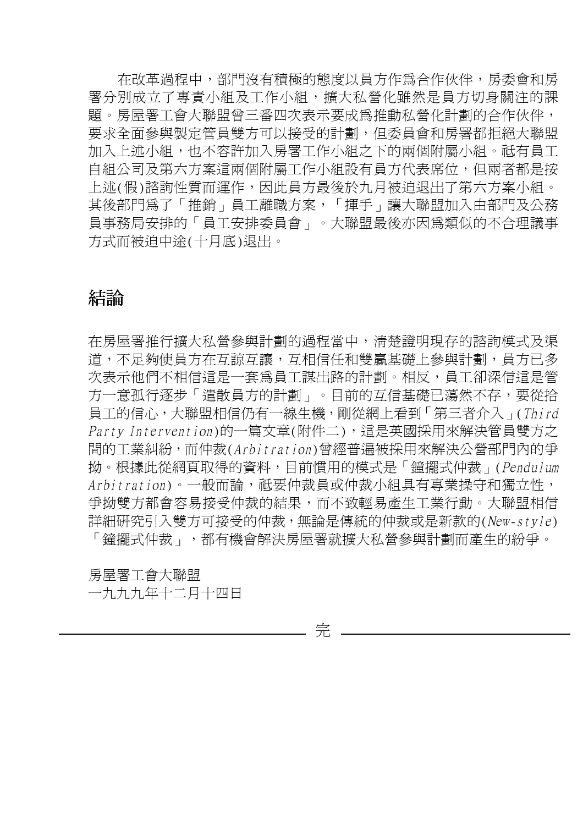在改革過程㆗,部門沒有積極的態度以員方作為合作伙伴,房委會和房 署分別成立了專責小組及工作小組,攜大私營化雖然是員方切身關注的課 題。房屋署工會大聯盟曾三番四次表示要成為推動私營化計劃的合作伙伴, 要求全面參與製定管員雙方可以接受的計劃,但委員會和房署都拒絕大聯盟 加入上述小組,也不容許加入房署工作小組之下的兩個附屬小組。祇有員工 自組公司及第六方案這兩個附屬工作小組設有員方代表席位,但兩者都是按 上述(假)諮詢性質而運作,因此員方最後於九月被迫退出了第六方案小組。 其後部門為了「推銷」員工離職方案,「揮手」讓大聯盟加入由部門及公務 員事務局安排的「員工安排委員會」。大聯盟最後亦因為類似的不合理議事 方式而被迫中涂(十月底)退出。

## 結論

在房屋署推行擴大私營參與計劃的過程當㆗,清楚證明現存的諮詢模式及渠 道,不足夠使員方在互讓,互相信任和雙贏基礎上參與計劃,員方已多 次表示他們不相信這是一套為員工謀出路的計劃。相反,員工卻深信這是管 方一意孤行逐步「遣散員方的計劃」。目前的互信基礎已蕩然不存,要從拾 員工的信心,大聯盟相信仍有一線生機,剛從網上看到「第三者介入」(Third Party Intervention)的一篇文章(附件二),這是英國採用來解決管員雙方之 間的工業糾紛,而仲裁(Arbitration)曾經普遍被採用來解決公營部門內的爭 拗。根據此從網頁取得的資料,目前慣用的模式是「鐘擺式仲裁」(Pendulum Arbitration)。一般而論,祗要仲裁員或仲裁小組具有專業操守和獨立性, 爭拗雙方都會容易接受仲裁的結果,而不致輕易產生工業行動。大聯盟相信 詳細研究引入雙方可接受的仲裁,無論是傳統的仲裁或是新款的(New-style) 「鐘擺式仲裁」,都有機會解決房屋署就擴大私營參與計劃而產生的紛爭。

房屋署工會大聯盟

㆒九九九年十㆓月十㆕日

完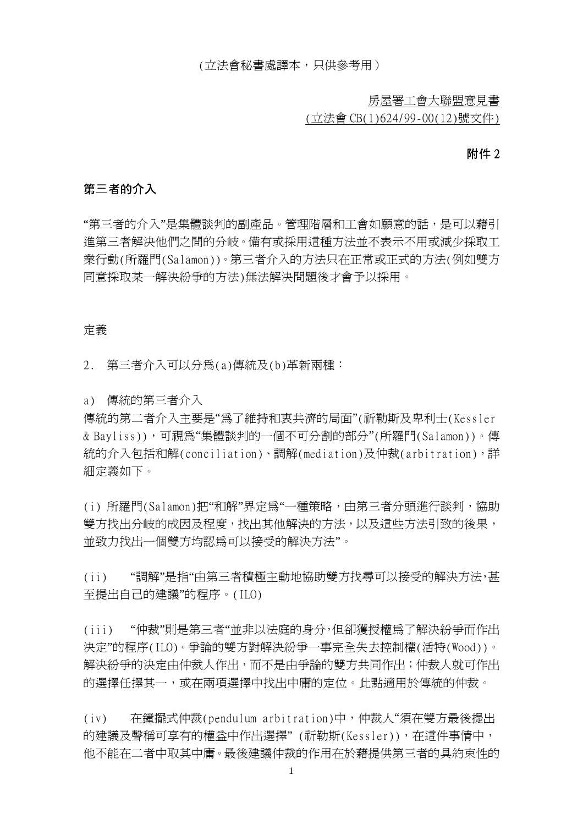(立法會秘書處譯本,只供參考用)

房屋署工會大聯盟意見書

(立法會 CB(1)624/99-00(12)號文件)

#### 附件 2

### 第三者的介入

"第三者的介入"是集體談判的副產品。管理階層和工會如願意的話,是可以藉引 進第三者解決他們之間的分岐。備有或採用這種方法並不表示不用或減少採取工 業行動(所羅門(Salamon))。第三者介入的方法只在正常或正式的方法(例如雙方 同意採取某㆒解決紛爭的方法)無法解決問題後才會予以採用。

#### 定義

2. 第㆔者介入可以分為(a)傳統及(b)革新兩種:

a) 傳統的第三者介入

傳統的第㆓者介入主要是"為了維持和衷共濟的局面"(祈勒斯及卑利士(Kessler & Bayliss)),可視為"集體談判的㆒個不可分割的部分"(所羅門(Salamon))。傳 統的介入包括和解(conciliation)、調解(mediation)及仲裁(arbitration),詳 細定義如㆘。

(i) 所羅門(Salamon)把"和解"界定為"㆒種策略,由第㆔者分頭進行談判,協助 雙方找出分岐的成因及程度,找出其他解決的方法,以及這些方法引致的後果, 並致力找出㆒個雙方均認為可以接受的解決方法"。

(ii) "調解"是指"由第㆔者積極主動㆞協助雙方找尋可以接受的解決方法,甚 至提出自己的建議"的程序。(ILO)

(iii) "仲裁"則是第㆔者"並非以法庭的身分,但卻獲授權為了解決紛爭而作出 決定"的程序(ILO)。爭論的雙方對解決紛爭㆒事完全失去控制權(活特(Wood))。 解決紛爭的決定由仲裁人作出,而不是由爭論的雙方共同作出;仲裁人就可作出 的選擇任擇其一,或在兩項選擇中找出中庸的定位。此點適用於傳統的仲裁。

(iv) 在鐘擺式仲裁(pendulum arbitration)中,仲裁人"須在雙方最後提出 的建議及聲稱可享有的權益中作出選擇"(祈勒斯(Kessler)), 在這件事情中, 他不能在二者中取其中庸。最後建議仲裁的作用在於藉提供第三者的具約束性的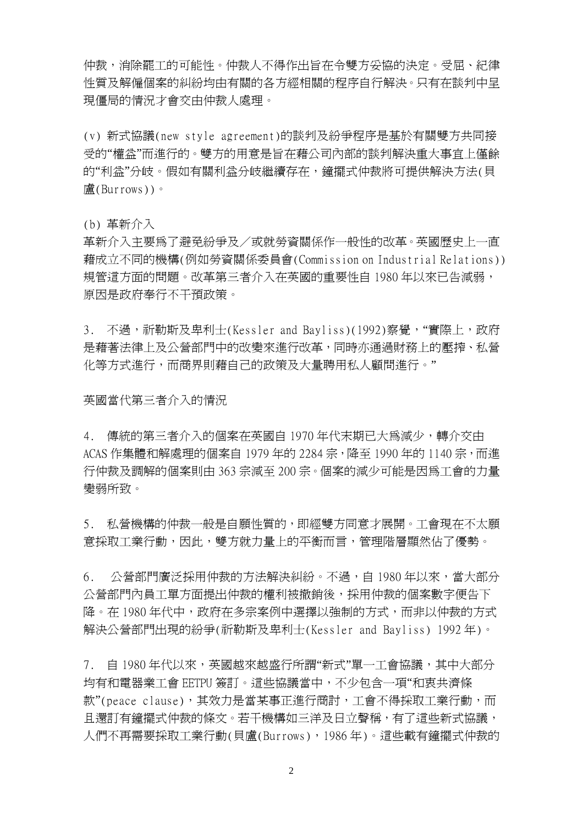仲裁,消除罷工的可能性。仲裁人不得作出旨在令雙方妥協的決定。受屈、紀律 性質及解僱個案的糾紛均由有關的各方經相關的程序自行解決。只有在談判中呈 現僵局的情況才會交由仲裁人處理。

(v) 新式協議(new style agreement)的談判及紛爭程序是基於有關雙方共同接 受的"權益"而進行的。雙方的用意是旨在藉公司內部的談判解決重大事宜上僅餘 的"利益"分岐。假如有關利益分岐繼續存在,鐘擺式仲裁將可提供解決方法(貝 盧(Burrows))。

(b) 革新介入

革新介入主要為了避免紛爭及/或就勞資關係作一般性的改革。英國歷史上一直 藉成立不同的機構(例如勞資關係委員會(Commission on Industrial Relations)) 規管這方面的問題。改革第三者介入在英國的重要性自 1980 年以來已告減弱, 原因是政府奉行不干預政策。

3. 不過,祈勒斯及卑利士(Kessler and Bayliss)(1992)察覺,"實際上,政府 是藉著法律上及公營部門中的改變來進行改革,同時亦通過財務上的壓搾、私營 化等方式淮行,而商界則藉自己的政策及大量聘用私人顧問淮行。"

英國當代第三者介入的情況

4. 傳統的第三者介入的個案在英國自 1970年代末期已大為減少,轉介交由 ACAS 作集體和解處理的個案自 1979 年的 2284 宗,降至 1990 年的 1140 宗,而進 行仲裁及調解的個案則由 363 宗減至 200 宗。個案的減少可能是因為工會的力量 變弱所致。

5. 私營機構的仲裁㆒般是自願性質的,即經雙方同意才展開。工會現在不太願 意採取工業行動,因此,雙方就力量㆖的平衡而言,管理階層顯然佔了優勢。

6. 公營部門廣泛採用仲裁的方法解決糾紛。不過,自 1980 年以來,當大部分 公營部門內員工單方面提出仲裁的權利被撤銷後,採用仲裁的個案數字便告下 降。在 1980年代中,政府在多宗案例中選擇以強制的方式,而非以仲裁的方式 解決公營部門出現的紛爭(祈勒斯及卑利士(Kessler and Bayliss) 1992 年)。

7. 自 1980年代以來,英國越來越盛行所謂"新式"單一工會協議,其中大部分 均有和電器業工會 EETPU 簽訂。這些協議當中,不少包含一項"和衷共濟條 款"(peace clause),其效力是當某事正進行商討,工會不得採取工業行動,而 且還訂有鐘擺式仲裁的條文。若干機構如三洋及日立聲稱,有了這些新式協議, ㆟們不再需要採取工業行動(貝盧(Burrows),1986 年)。這些載有鐘擺式仲裁的

2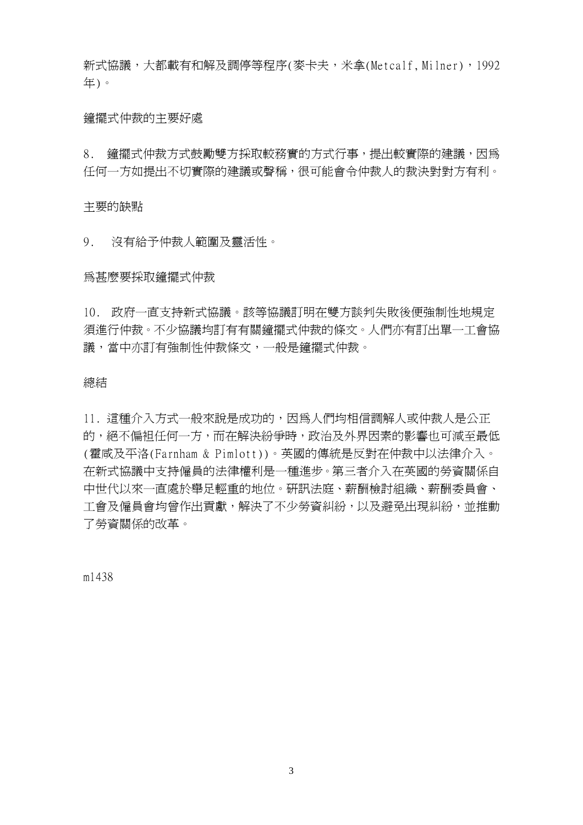新式協議,大都載有和解及調停等程序(麥卡夫,米拿(Metcalf, Milner),1992 年)。

#### 鐘擺式仲裁的主要好處

8. 鐘擺式仲裁方式鼓勵雙方採取較務實的方式行事,提出較實際的建議,因為 任何一方如提出不切實際的建議或聲稱,很可能會令仲裁人的裁決對對方有利。

主要的缺點

9. 沒有給予仲裁㆟範圍及靈活性。

為甚麼要採取鐘擺式仲裁

10. 政府一直支持新式協議。該等協議訂明在雙方談判失敗後便強制性地規定 須進行仲裁。不少協議均訂有有關鐘擺式仲裁的條文。人們亦有訂出單一工會協 議,當中亦訂有強制性仲裁條文,一般是鐘擺式仲裁。

#### 總結

11. 這種介入方式一般來說是成功的,因為人們均相信調解人或仲裁人是公正 的,絕不偏衵任何一方,而在解決紛爭時,政治及外界因素的影響也可減至最低 (霍咸及平洛(Farnham & Pimlott))。英國的傳統是反對在仲裁㆗以法律介入。 在新式協議中支持僱員的法律權利是一種進步。第三者介入在英國的勞資關係自 ㆗世代以來㆒直處於舉足輕重的㆞位。研訊法庭、薪酬檢討組織、薪酬委員會、 工會及僱員會均曾作出貢獻,解決了不少勞資糾紛,以及避免出現糾紛,並推動 了勞資關係的改革。

m1438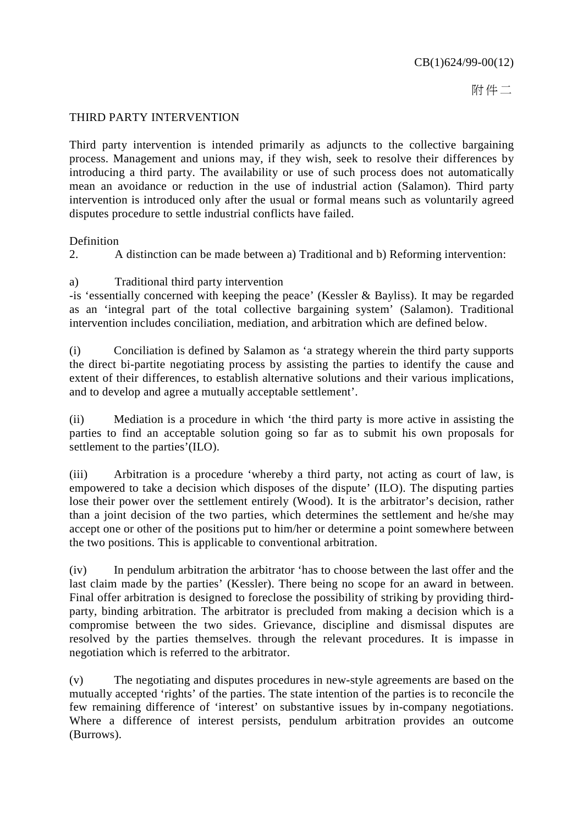附件二

### THIRD PARTY INTERVENTION

Third party intervention is intended primarily as adjuncts to the collective bargaining process. Management and unions may, if they wish, seek to resolve their differences by introducing a third party. The availability or use of such process does not automatically mean an avoidance or reduction in the use of industrial action (Salamon). Third party intervention is introduced only after the usual or formal means such as voluntarily agreed disputes procedure to settle industrial conflicts have failed.

#### Definition

2. A distinction can be made between a) Traditional and b) Reforming intervention:

### a) Traditional third party intervention

-is 'essentially concerned with keeping the peace' (Kessler & Bayliss). It may be regarded as an 'integral part of the total collective bargaining system' (Salamon). Traditional intervention includes conciliation, mediation, and arbitration which are defined below.

(i) Conciliation is defined by Salamon as 'a strategy wherein the third party supports the direct bi-partite negotiating process by assisting the parties to identify the cause and extent of their differences, to establish alternative solutions and their various implications, and to develop and agree a mutually acceptable settlement'.

(ii) Mediation is a procedure in which 'the third party is more active in assisting the parties to find an acceptable solution going so far as to submit his own proposals for settlement to the parties'(ILO).

(iii) Arbitration is a procedure 'whereby a third party, not acting as court of law, is empowered to take a decision which disposes of the dispute' (ILO). The disputing parties lose their power over the settlement entirely (Wood). It is the arbitrator's decision, rather than a joint decision of the two parties, which determines the settlement and he/she may accept one or other of the positions put to him/her or determine a point somewhere between the two positions. This is applicable to conventional arbitration.

(iv) In pendulum arbitration the arbitrator 'has to choose between the last offer and the last claim made by the parties' (Kessler). There being no scope for an award in between. Final offer arbitration is designed to foreclose the possibility of striking by providing thirdparty, binding arbitration. The arbitrator is precluded from making a decision which is a compromise between the two sides. Grievance, discipline and dismissal disputes are resolved by the parties themselves. through the relevant procedures. It is impasse in negotiation which is referred to the arbitrator.

(v) The negotiating and disputes procedures in new-style agreements are based on the mutually accepted 'rights' of the parties. The state intention of the parties is to reconcile the few remaining difference of 'interest' on substantive issues by in-company negotiations. Where a difference of interest persists, pendulum arbitration provides an outcome (Burrows).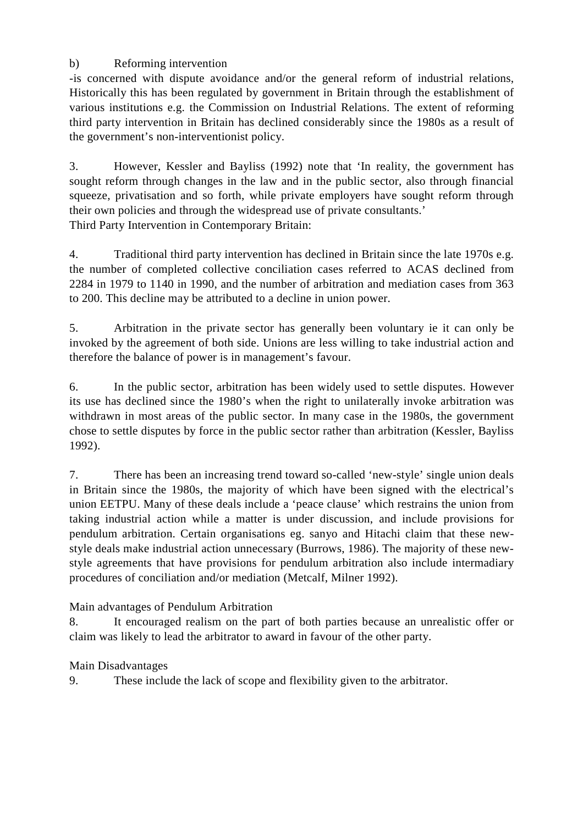## b) Reforming intervention

-is concerned with dispute avoidance and/or the general reform of industrial relations, Historically this has been regulated by government in Britain through the establishment of various institutions e.g. the Commission on Industrial Relations. The extent of reforming third party intervention in Britain has declined considerably since the 1980s as a result of the government's non-interventionist policy.

3. However, Kessler and Bayliss (1992) note that 'In reality, the government has sought reform through changes in the law and in the public sector, also through financial squeeze, privatisation and so forth, while private employers have sought reform through their own policies and through the widespread use of private consultants.' Third Party Intervention in Contemporary Britain:

4. Traditional third party intervention has declined in Britain since the late 1970s e.g. the number of completed collective conciliation cases referred to ACAS declined from 2284 in 1979 to 1140 in 1990, and the number of arbitration and mediation cases from 363 to 200. This decline may be attributed to a decline in union power.

5. Arbitration in the private sector has generally been voluntary ie it can only be invoked by the agreement of both side. Unions are less willing to take industrial action and therefore the balance of power is in management's favour.

6. In the public sector, arbitration has been widely used to settle disputes. However its use has declined since the 1980's when the right to unilaterally invoke arbitration was withdrawn in most areas of the public sector. In many case in the 1980s, the government chose to settle disputes by force in the public sector rather than arbitration (Kessler, Bayliss 1992).

7. There has been an increasing trend toward so-called 'new-style' single union deals in Britain since the 1980s, the majority of which have been signed with the electrical's union EETPU. Many of these deals include a 'peace clause' which restrains the union from taking industrial action while a matter is under discussion, and include provisions for pendulum arbitration. Certain organisations eg. sanyo and Hitachi claim that these newstyle deals make industrial action unnecessary (Burrows, 1986). The majority of these newstyle agreements that have provisions for pendulum arbitration also include intermadiary procedures of conciliation and/or mediation (Metcalf, Milner 1992).

## Main advantages of Pendulum Arbitration

8. It encouraged realism on the part of both parties because an unrealistic offer or claim was likely to lead the arbitrator to award in favour of the other party.

## Main Disadvantages

9. These include the lack of scope and flexibility given to the arbitrator.